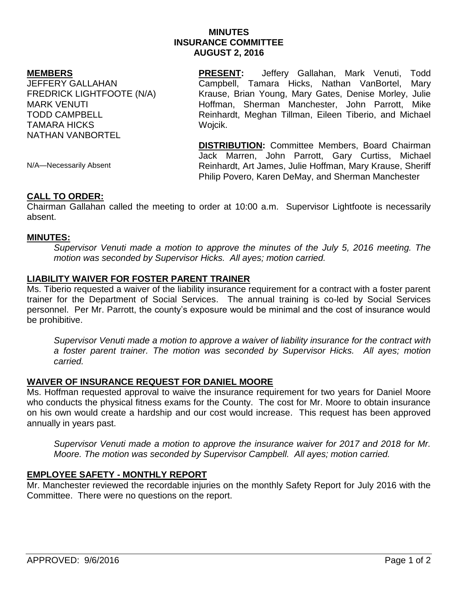# **MINUTES INSURANCE COMMITTEE AUGUST 2, 2016**

#### **MEMBERS**

JEFFERY GALLAHAN FREDRICK LIGHTFOOTE (N/A) MARK VENUTI TODD CAMPBELL TAMARA HICKS NATHAN VANBORTEL

**PRESENT:** Jeffery Gallahan, Mark Venuti, Todd Campbell, Tamara Hicks, Nathan VanBortel, Mary Krause, Brian Young, Mary Gates, Denise Morley, Julie Hoffman, Sherman Manchester, John Parrott, Mike Reinhardt, Meghan Tillman, Eileen Tiberio, and Michael Wojcik.

**DISTRIBUTION:** Committee Members, Board Chairman Jack Marren, John Parrott, Gary Curtiss, Michael Reinhardt, Art James, Julie Hoffman, Mary Krause, Sheriff Philip Povero, Karen DeMay, and Sherman Manchester

N/A—Necessarily Absent

## **CALL TO ORDER:**

Chairman Gallahan called the meeting to order at 10:00 a.m. Supervisor Lightfoote is necessarily absent.

## **MINUTES:**

*Supervisor Venuti made a motion to approve the minutes of the July 5, 2016 meeting. The motion was seconded by Supervisor Hicks. All ayes; motion carried.* 

## **LIABILITY WAIVER FOR FOSTER PARENT TRAINER**

Ms. Tiberio requested a waiver of the liability insurance requirement for a contract with a foster parent trainer for the Department of Social Services. The annual training is co-led by Social Services personnel. Per Mr. Parrott, the county's exposure would be minimal and the cost of insurance would be prohibitive.

*Supervisor Venuti made a motion to approve a waiver of liability insurance for the contract with a foster parent trainer. The motion was seconded by Supervisor Hicks. All ayes; motion carried.*

# **WAIVER OF INSURANCE REQUEST FOR DANIEL MOORE**

Ms. Hoffman requested approval to waive the insurance requirement for two years for Daniel Moore who conducts the physical fitness exams for the County. The cost for Mr. Moore to obtain insurance on his own would create a hardship and our cost would increase. This request has been approved annually in years past.

*Supervisor Venuti made a motion to approve the insurance waiver for 2017 and 2018 for Mr. Moore. The motion was seconded by Supervisor Campbell. All ayes; motion carried.* 

# **EMPLOYEE SAFETY - MONTHLY REPORT**

Mr. Manchester reviewed the recordable injuries on the monthly Safety Report for July 2016 with the Committee. There were no questions on the report.